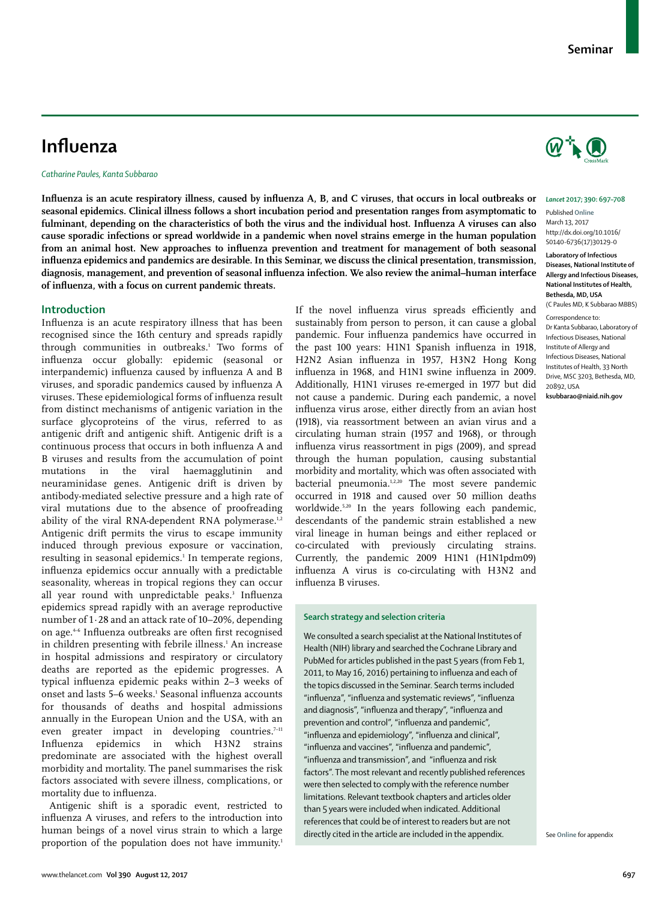#### *Lancet* **2017; 390: 697–708**

Published **Online** March 13, 2017 http://dx.doi.org/10.1016/ S0140-6736(17)30129-0

#### **Laboratory of Infectious Diseases, National Institute of Allergy and Infectious Diseases, National Institutes of Health, Bethesda, MD, USA**

(C Paules MD, K Subbarao MBBS)

Correspondence to: Dr Kanta Subbarao, Laboratory of Infectious Diseases, National Institute of Allergy and Infectious Diseases, National Institutes of Health, 33 North Drive, MSC 3203, Bethesda, MD, 20892, USA **ksubbarao@niaid.nih.gov**

# **Influenza**

*Catharine Paules, Kanta Subbarao*

**Influenza is an acute respiratory illness, caused by influenza A, B, and C viruses, that occurs in local outbreaks or seasonal epidemics. Clinical illness follows a short incubation period and presentation ranges from asymptomatic to fulminant, depending on the characteristics of both the virus and the individual host. Influenza A viruses can also cause sporadic infections or spread worldwide in a pandemic when novel strains emerge in the human population from an animal host. New approaches to influenza prevention and treatment for management of both seasonal influenza epidemics and pandemics are desirable. In this Seminar, we discuss the clinical presentation, transmission, diagnosis, management, and prevention of seasonal influenza infection. We also review the animal–human interface of influenza, with a focus on current pandemic threats.**

## **Introduction**

Influenza is an acute respiratory illness that has been recognised since the 16th century and spreads rapidly through communities in outbreaks.1 Two forms of influenza occur globally: epidemic (seasonal or interpandemic) influenza caused by influenza A and B viruses, and sporadic pandemics caused by influenza A viruses. These epidemiological forms of influenza result from distinct mechanisms of antigenic variation in the surface glycoproteins of the virus, referred to as antigenic drift and antigenic shift. Antigenic drift is a continuous process that occurs in both influenza A and B viruses and results from the accumulation of point mutations in the viral haemagglutinin and neuraminidase genes. Antigenic drift is driven by antibody-mediated selective pressure and a high rate of viral mutations due to the absence of proofreading ability of the viral RNA-dependent RNA polymerase.<sup>1,2</sup> Antigenic drift permits the virus to escape immunity induced through previous exposure or vaccination, resulting in seasonal epidemics.1 In temperate regions, influenza epidemics occur annually with a predictable seasonality, whereas in tropical regions they can occur all year round with unpredictable peaks.<sup>3</sup> Influenza epidemics spread rapidly with an average reproductive number of 1·28 and an attack rate of 10–20%, depending on age.4–6 Influenza outbreaks are often first recognised in children presenting with febrile illness.<sup>1</sup> An increase in hospital admissions and respiratory or circulatory deaths are reported as the epidemic progresses. A typical influenza epidemic peaks within 2–3 weeks of onset and lasts 5–6 weeks.1 Seasonal influenza accounts for thousands of deaths and hospital admissions annually in the European Union and the USA, with an even greater impact in developing countries.<sup>7-11</sup> Influenza epidemics in which H3N2 strains predominate are associated with the highest overall morbidity and mortality. The panel summarises the risk factors associated with severe illness, complications, or mortality due to influenza.

Antigenic shift is a sporadic event, restricted to influenza A viruses, and refers to the introduction into human beings of a novel virus strain to which a large proportion of the population does not have immunity.<sup>1</sup> pandemic. Four influenza pandemics have occurred in the past 100 years: H1N1 Spanish influenza in 1918, H2N2 Asian influenza in 1957, H3N2 Hong Kong influenza in 1968, and H1N1 swine influenza in 2009. Additionally, H1N1 viruses re-emerged in 1977 but did not cause a pandemic. During each pandemic, a novel influenza virus arose, either directly from an avian host (1918), via reassortment between an avian virus and a circulating human strain (1957 and 1968), or through influenza virus reassortment in pigs (2009), and spread through the human population, causing substantial morbidity and mortality, which was often associated with bacterial pneumonia.<sup>1,2,20</sup> The most severe pandemic occurred in 1918 and caused over 50 million deaths worldwide.<sup>5,20</sup> In the years following each pandemic, descendants of the pandemic strain established a new viral lineage in human beings and either replaced or co-circulated with previously circulating strains. Currently, the pandemic 2009 H1N1 (H1N1pdm09) influenza A virus is co-circulating with H3N2 and influenza B viruses.

If the novel influenza virus spreads efficiently and sustainably from person to person, it can cause a global

#### **Search strategy and selection criteria**

We consulted a search specialist at the National Institutes of Health (NIH) library and searched the Cochrane Library and PubMed for articles published in the past 5 years (from Feb 1, 2011, to May 16, 2016) pertaining to influenza and each of the topics discussed in the Seminar. Search terms included "influenza", "influenza and systematic reviews", "influenza and diagnosis", "influenza and therapy", "influenza and prevention and control", "influenza and pandemic", "influenza and epidemiology", "influenza and clinical", "influenza and vaccines", "influenza and pandemic", "influenza and transmission", and "influenza and risk factors". The most relevant and recently published references were then selected to comply with the reference number limitations. Relevant textbook chapters and articles older than 5 years were included when indicated. Additional references that could be of interest to readers but are not directly cited in the article are included in the appendix. See Online for appendix

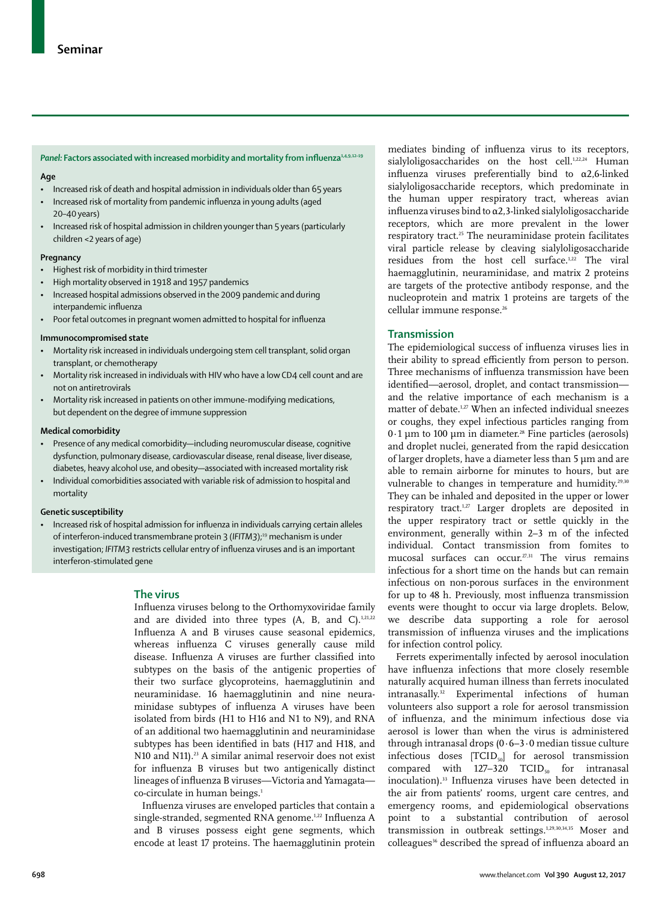#### Panel: Factors associated with increased morbidity and mortality from influenza<sup>1,4,9,12-19</sup>

#### **Age**

- Increased risk of death and hospital admission in individuals older than 65 years
- Increased risk of mortality from pandemic influenza in young adults (aged 20–40 years)
- Increased risk of hospital admission in children younger than 5 years (particularly children <2 years of age)

#### **Pregnancy**

- Highest risk of morbidity in third trimester
- High mortality observed in 1918 and 1957 pandemics
- Increased hospital admissions observed in the 2009 pandemic and during interpandemic influenza
- Poor fetal outcomes in pregnant women admitted to hospital for influenza

#### **Immunocompromised state**

- Mortality risk increased in individuals undergoing stem cell transplant, solid organ transplant, or chemotherapy
- Mortality risk increased in individuals with HIV who have a low CD4 cell count and are not on antiretrovirals
- Mortality risk increased in patients on other immune-modifying medications, but dependent on the degree of immune suppression

#### **Medical comorbidity**

- Presence of any medical comorbidity—including neuromuscular disease, cognitive dysfunction, pulmonary disease, cardiovascular disease, renal disease, liver disease, diabetes, heavy alcohol use, and obesity—associated with increased mortality risk
- Individual comorbidities associated with variable risk of admission to hospital and mortality

#### **Genetic susceptibility**

Increased risk of hospital admission for influenza in individuals carrying certain alleles of interferon-induced transmembrane protein 3 (IFITM3);<sup>19</sup> mechanism is under investigation; *IFITM3* restricts cellular entry of influenza viruses and is an important interferon-stimulated gene

## **The virus**

Influenza viruses belong to the Orthomyxoviridae family and are divided into three types (A, B, and C). $1,21,22$ Influenza A and B viruses cause seasonal epidemics, whereas influenza C viruses generally cause mild disease. Influenza A viruses are further classified into subtypes on the basis of the antigenic properties of their two surface glycoproteins, haemagglutinin and neuraminidase. 16 haemagglutinin and nine neuraminidase subtypes of influenza A viruses have been isolated from birds (H1 to H16 and N1 to N9), and RNA of an additional two haemagglutinin and neuraminidase subtypes has been identified in bats (H17 and H18, and N10 and N11).<sup>23</sup> A similar animal reservoir does not exist for influenza B viruses but two antigenically distinct lineages of influenza B viruses—Victoria and Yamagata co-circulate in human beings.<sup>1</sup>

Influenza viruses are enveloped particles that contain a single-stranded, segmented RNA genome.<sup>1,22</sup> Influenza A and B viruses possess eight gene segments, which encode at least 17 proteins. The haemagglutinin protein mediates binding of influenza virus to its receptors, sialyloligosaccharides on the host cell.<sup>1,22,24</sup> Human influenza viruses preferentially bind to  $\alpha$ 2,6-linked sialyloligosaccharide receptors, which predominate in the human upper respiratory tract, whereas avian influenza viruses bind to  $\alpha$ 2,3-linked sialyloligosaccharide receptors, which are more prevalent in the lower respiratory tract.<sup>25</sup> The neuraminidase protein facilitates viral particle release by cleaving sialyloligosaccharide residues from the host cell surface.<sup>1,22</sup> The viral haemagglutinin, neuraminidase, and matrix 2 proteins are targets of the protective antibody response, and the nucleoprotein and matrix 1 proteins are targets of the cellular immune response.<sup>26</sup>

#### **Transmission**

The epidemiological success of influenza viruses lies in their ability to spread efficiently from person to person. Three mechanisms of influenza transmission have been identified—aerosol, droplet, and contact transmission and the relative importance of each mechanism is a matter of debate.1,27 When an infected individual sneezes or coughs, they expel infectious particles ranging from  $0.1 \mu$ m to 100  $\mu$ m in diameter.<sup>28</sup> Fine particles (aerosols) and droplet nuclei, generated from the rapid desiccation of larger droplets, have a diameter less than 5 μm and are able to remain airborne for minutes to hours, but are vulnerable to changes in temperature and humidity.<sup>29,30</sup> They can be inhaled and deposited in the upper or lower respiratory tract.1,27 Larger droplets are deposited in the upper respiratory tract or settle quickly in the environment, generally within 2–3 m of the infected individual. Contact transmission from fomites to mucosal surfaces can occur.27,31 The virus remains infectious for a short time on the hands but can remain infectious on non-porous surfaces in the environment for up to 48 h. Previously, most influenza transmission events were thought to occur via large droplets. Below, we describe data supporting a role for aerosol transmission of influenza viruses and the implications for infection control policy.

Ferrets experimentally infected by aerosol inoculation have influenza infections that more closely resemble naturally acquired human illness than ferrets inoculated intranasally.<sup>32</sup> Experimental infections of human volunteers also support a role for aerosol transmission of influenza, and the minimum infectious dose via aerosol is lower than when the virus is administered through intranasal drops (0·6–3·0 median tissue culture infectious doses  $[TCID<sub>50</sub>]$  for aerosol transmission compared with  $127-320$  TCID<sub>50</sub> for intranasal inoculation).33 Influenza viruses have been detected in the air from patients' rooms, urgent care centres, and emergency rooms, and epidemiological observations point to a substantial contribution of aerosol transmission in outbreak settings.1,29,30,34,35 Moser and colleagues<sup>36</sup> described the spread of influenza aboard an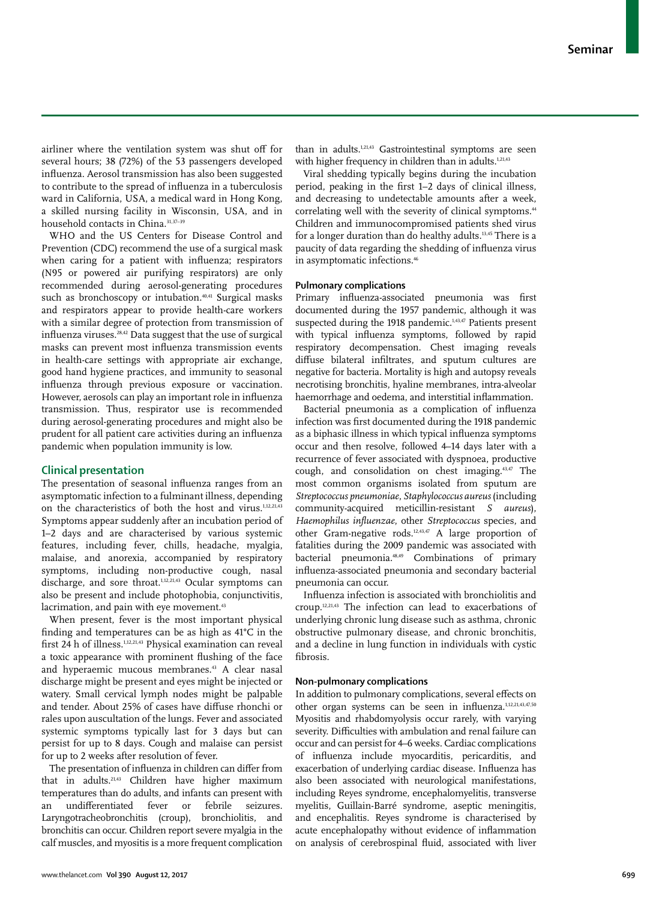airliner where the ventilation system was shut off for several hours; 38 (72%) of the 53 passengers developed influenza. Aerosol transmission has also been suggested to contribute to the spread of influenza in a tuberculosis ward in California, USA, a medical ward in Hong Kong, a skilled nursing facility in Wisconsin, USA, and in household contacts in China.<sup>31,37-39</sup>

WHO and the US Centers for Disease Control and Prevention (CDC) recommend the use of a surgical mask when caring for a patient with influenza; respirators (N95 or powered air purifying respirators) are only recommended during aerosol-generating procedures such as bronchoscopy or intubation.<sup>40,41</sup> Surgical masks and respirators appear to provide health-care workers with a similar degree of protection from transmission of influenza viruses.28,42 Data suggest that the use of surgical masks can prevent most influenza transmission events in health-care settings with appropriate air exchange, good hand hygiene practices, and immunity to seasonal influenza through previous exposure or vaccination. However, aerosols can play an important role in influenza transmission. Thus, respirator use is recommended during aerosol-generating procedures and might also be prudent for all patient care activities during an influenza pandemic when population immunity is low.

## **Clinical presentation**

The presentation of seasonal influenza ranges from an asymptomatic infection to a fulminant illness, depending on the characteristics of both the host and virus.1,12,21,43 Symptoms appear suddenly after an incubation period of 1–2 days and are characterised by various systemic features, including fever, chills, headache, myalgia, malaise, and anorexia, accompanied by respiratory symptoms, including non-productive cough, nasal discharge, and sore throat.<sup>1,12,21,43</sup> Ocular symptoms can also be present and include photophobia, conjunctivitis, lacrimation, and pain with eye movement.<sup>43</sup>

When present, fever is the most important physical finding and temperatures can be as high as 41°C in the first 24 h of illness.1,12,21,43 Physical examination can reveal a toxic appearance with prominent flushing of the face and hyperaemic mucous membranes.<sup>43</sup> A clear nasal discharge might be present and eyes might be injected or watery. Small cervical lymph nodes might be palpable and tender. About 25% of cases have diffuse rhonchi or rales upon auscultation of the lungs. Fever and associated systemic symptoms typically last for 3 days but can persist for up to 8 days. Cough and malaise can persist for up to 2 weeks after resolution of fever.

The presentation of influenza in children can differ from that in adults.21,43 Children have higher maximum temperatures than do adults, and infants can present with an undifferentiated fever or febrile seizures. Laryngotracheobronchitis (croup), bronchiolitis, and bronchitis can occur. Children report severe myalgia in the calf muscles, and myositis is a more frequent complication than in adults.1,21,43 Gastrointestinal symptoms are seen with higher frequency in children than in adults.<sup>1,21,43</sup>

Viral shedding typically begins during the incubation period, peaking in the first 1–2 days of clinical illness, and decreasing to undetectable amounts after a week, correlating well with the severity of clinical symptoms.<sup>44</sup> Children and immunocompromised patients shed virus for a longer duration than do healthy adults.<sup>13,45</sup> There is a paucity of data regarding the shedding of influenza virus in asymptomatic infections.<sup>46</sup>

## **Pulmonary complications**

Primary influenza-associated pneumonia was first documented during the 1957 pandemic, although it was suspected during the 1918 pandemic.<sup>1,43,47</sup> Patients present with typical influenza symptoms, followed by rapid respiratory decompensation. Chest imaging reveals diffuse bilateral infiltrates, and sputum cultures are negative for bacteria. Mortality is high and autopsy reveals necrotising bronchitis, hyaline membranes, intra-alveolar haemorrhage and oedema, and interstitial inflammation.

Bacterial pneumonia as a complication of influenza infection was first documented during the 1918 pandemic as a biphasic illness in which typical influenza symptoms occur and then resolve, followed 4–14 days later with a recurrence of fever associated with dyspnoea, productive cough, and consolidation on chest imaging.43,47 The most common organisms isolated from sputum are *Streptococcus pneumoniae*, *Staphylococcus aureus* (including community-acquired meticillin-resistant *S aureus*), *Haemophilus influenzae*, other *Streptococcus* species, and other Gram-negative rods.<sup>12,43,47</sup> A large proportion of fatalities during the 2009 pandemic was associated with bacterial pneumonia.48,49 Combinations of primary influenza-associated pneumonia and secondary bacterial pneumonia can occur.

Influenza infection is associated with bronchiolitis and croup.12,21,43 The infection can lead to exacerbations of underlying chronic lung disease such as asthma, chronic obstructive pulmonary disease, and chronic bronchitis, and a decline in lung function in individuals with cystic fibrosis.

## **Non-pulmonary complications**

In addition to pulmonary complications, several effects on other organ systems can be seen in influenza.1,12,21,43,47,50 Myositis and rhabdomyolysis occur rarely, with varying severity. Difficulties with ambulation and renal failure can occur and can persist for 4–6 weeks. Cardiac complications of influenza include myocarditis, pericarditis, and exacerbation of underlying cardiac disease. Influenza has also been associated with neurological manifestations, including Reyes syndrome, encephalomyelitis, transverse myelitis, Guillain-Barré syndrome, aseptic meningitis, and encephalitis. Reyes syndrome is characterised by acute encephalopathy without evidence of inflammation on analysis of cerebrospinal fluid, associated with liver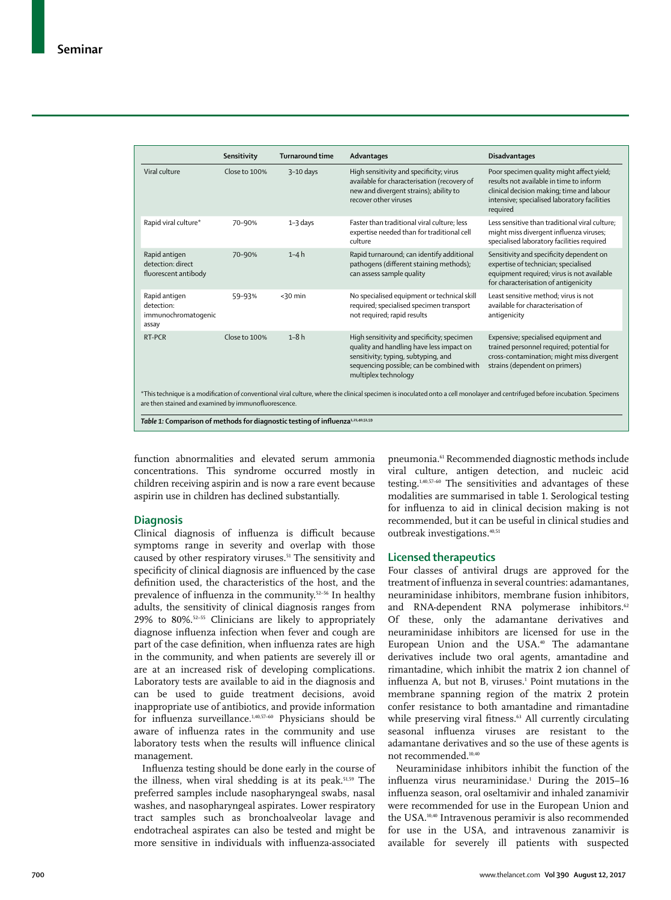|                                                                                                                                                                                                                                       | Sensitivity   | <b>Turnaround time</b> | Advantages                                                                                                                                                                                         | <b>Disadvantages</b>                                                                                                                                                                          |  |
|---------------------------------------------------------------------------------------------------------------------------------------------------------------------------------------------------------------------------------------|---------------|------------------------|----------------------------------------------------------------------------------------------------------------------------------------------------------------------------------------------------|-----------------------------------------------------------------------------------------------------------------------------------------------------------------------------------------------|--|
| Viral culture                                                                                                                                                                                                                         | Close to 100% | $3-10$ days            | High sensitivity and specificity; virus<br>available for characterisation (recovery of<br>new and divergent strains); ability to<br>recover other viruses                                          | Poor specimen quality might affect yield;<br>results not available in time to inform<br>clinical decision making; time and labour<br>intensive; specialised laboratory facilities<br>required |  |
| Rapid viral culture*                                                                                                                                                                                                                  | 70-90%        | $1 - 3$ days           | Faster than traditional viral culture; less<br>expertise needed than for traditional cell<br>culture                                                                                               | Less sensitive than traditional viral culture:<br>might miss divergent influenza viruses;<br>specialised laboratory facilities required                                                       |  |
| Rapid antigen<br>detection: direct<br>fluorescent antibody                                                                                                                                                                            | 70-90%        | $1-4h$                 | Rapid turnaround; can identify additional<br>pathogens (different staining methods);<br>can assess sample quality                                                                                  | Sensitivity and specificity dependent on<br>expertise of technician; specialised<br>equipment required; virus is not available<br>for characterisation of antigenicity                        |  |
| Rapid antigen<br>detection:<br>immunochromatogenic<br>assay                                                                                                                                                                           | 59-93%        | $<$ 30 min             | No specialised equipment or technical skill<br>required; specialised specimen transport<br>not required; rapid results                                                                             | Least sensitive method; virus is not<br>available for characterisation of<br>antigenicity                                                                                                     |  |
| RT-PCR                                                                                                                                                                                                                                | Close to 100% | $1-8h$                 | High sensitivity and specificity; specimen<br>quality and handling have less impact on<br>sensitivity; typing, subtyping, and<br>sequencing possible; can be combined with<br>multiplex technology | Expensive; specialised equipment and<br>trained personnel required; potential for<br>cross-contamination; might miss divergent<br>strains (dependent on primers)                              |  |
| *This technique is a modification of conventional viral culture, where the clinical specimen is inoculated onto a cell monolayer and centrifuged before incubation. Specimens<br>are then stained and examined by immunofluorescence. |               |                        |                                                                                                                                                                                                    |                                                                                                                                                                                               |  |

Table 1: Comparison of methods for diagnostic testing of influenza<sup>1,21,40,51,59</sup>

function abnormalities and elevated serum ammonia concentrations. This syndrome occurred mostly in children receiving aspirin and is now a rare event because aspirin use in children has declined substantially.

## **Diagnosis**

Clinical diagnosis of influenza is difficult because symptoms range in severity and overlap with those caused by other respiratory viruses.<sup>51</sup> The sensitivity and specificity of clinical diagnosis are influenced by the case definition used, the characteristics of the host, and the prevalence of influenza in the community.<sup>52-56</sup> In healthy adults, the sensitivity of clinical diagnosis ranges from 29% to 80%.52–55 Clinicians are likely to appropriately diagnose influenza infection when fever and cough are part of the case definition, when influenza rates are high in the community, and when patients are severely ill or are at an increased risk of developing complications. Laboratory tests are available to aid in the diagnosis and can be used to guide treatment decisions, avoid inappropriate use of antibiotics, and provide information for influenza surveillance.1,40,57–60 Physicians should be aware of influenza rates in the community and use laboratory tests when the results will influence clinical management.

Influenza testing should be done early in the course of the illness, when viral shedding is at its peak.<sup>51,59</sup> The preferred samples include nasopharyngeal swabs, nasal washes, and nasopharyngeal aspirates. Lower respiratory tract samples such as bronchoalveolar lavage and endotracheal aspirates can also be tested and might be more sensitive in individuals with influenza-associated pneumonia.61 Recommended diagnostic methods include viral culture, antigen detection, and nucleic acid testing.1,40,57–60 The sensitivities and advantages of these modalities are summarised in table 1. Serological testing for influenza to aid in clinical decision making is not recommended, but it can be useful in clinical studies and outbreak investigations.<sup>40,51</sup>

#### **Licensed therapeutics**

Four classes of antiviral drugs are approved for the treatment of influenza in several countries: adamantanes, neuraminidase inhibitors, membrane fusion inhibitors, and RNA-dependent RNA polymerase inhibitors.<sup>62</sup> Of these, only the adamantane derivatives and neuraminidase inhibitors are licensed for use in the European Union and the USA.<sup>40</sup> The adamantane derivatives include two oral agents, amantadine and rimantadine, which inhibit the matrix 2 ion channel of influenza A, but not B, viruses.<sup>1</sup> Point mutations in the membrane spanning region of the matrix 2 protein confer resistance to both amantadine and rimantadine while preserving viral fitness.<sup>63</sup> All currently circulating seasonal influenza viruses are resistant to the adamantane derivatives and so the use of these agents is not recommended.10,40

Neuraminidase inhibitors inhibit the function of the influenza virus neuraminidase.<sup>1</sup> During the 2015-16 influenza season, oral oseltamivir and inhaled zanamivir were recommended for use in the European Union and the USA.10,40 Intravenous peramivir is also recommended for use in the USA, and intravenous zanamivir is available for severely ill patients with suspected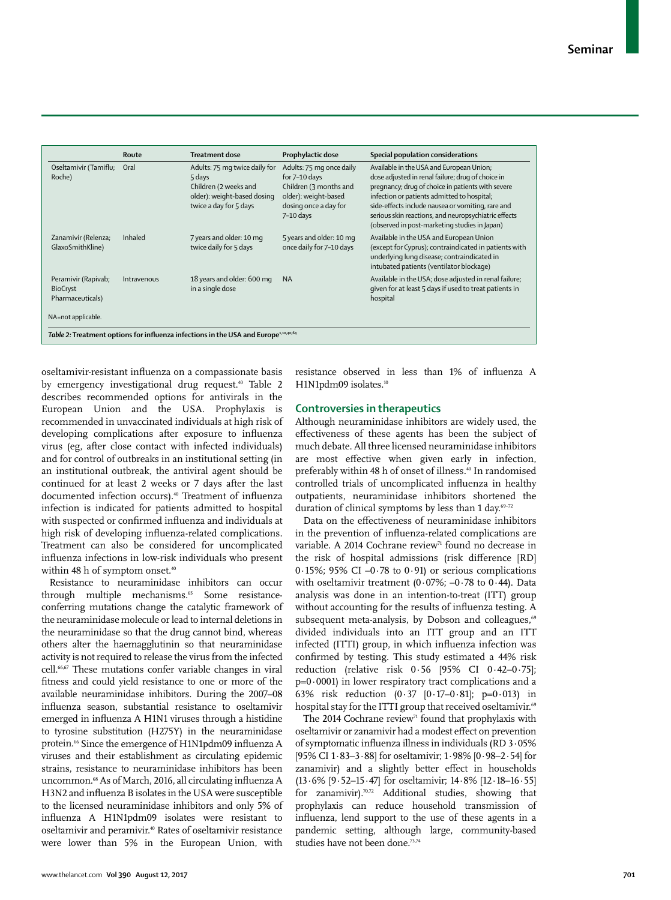|                                                            | Route       | <b>Treatment dose</b>                                                                                                     | Prophylactic dose                                                                                                                   | Special population considerations                                                                                                                                                                                                                                                                                                                               |
|------------------------------------------------------------|-------------|---------------------------------------------------------------------------------------------------------------------------|-------------------------------------------------------------------------------------------------------------------------------------|-----------------------------------------------------------------------------------------------------------------------------------------------------------------------------------------------------------------------------------------------------------------------------------------------------------------------------------------------------------------|
| Oseltamivir (Tamiflu; Oral<br>Roche)                       |             | Adults: 75 mg twice daily for<br>5 days<br>Children (2 weeks and<br>older): weight-based dosing<br>twice a day for 5 days | Adults: 75 mg once daily<br>for 7-10 days<br>Children (3 months and<br>older): weight-based<br>dosing once a day for<br>$7-10$ days | Available in the USA and European Union;<br>dose adjusted in renal failure; drug of choice in<br>pregnancy; drug of choice in patients with severe<br>infection or patients admitted to hospital;<br>side-effects include nausea or vomiting, rare and<br>serious skin reactions, and neuropsychiatric effects<br>(observed in post-marketing studies in Japan) |
| Zanamivir (Relenza;<br>GlaxoSmithKline)                    | Inhaled     | 7 years and older: 10 mg<br>twice daily for 5 days                                                                        | 5 years and older: 10 mg<br>once daily for 7-10 days                                                                                | Available in the USA and European Union<br>(except for Cyprus); contraindicated in patients with<br>underlying lung disease; contraindicated in<br>intubated patients (ventilator blockage)                                                                                                                                                                     |
| Peramivir (Rapivab;<br><b>BioCryst</b><br>Pharmaceuticals) | Intravenous | 18 years and older: 600 mg<br>in a single dose                                                                            | <b>NA</b>                                                                                                                           | Available in the USA; dose adjusted in renal failure;<br>given for at least 5 days if used to treat patients in<br>hospital                                                                                                                                                                                                                                     |
| NA=not applicable.                                         |             |                                                                                                                           |                                                                                                                                     |                                                                                                                                                                                                                                                                                                                                                                 |

oseltamivir-resistant influenza on a compassionate basis by emergency investigational drug request.<sup>40</sup> Table 2 describes recommended options for antivirals in the European Union and the USA. Prophylaxis is recommended in unvaccinated individuals at high risk of developing complications after exposure to influenza virus (eg, after close contact with infected individuals) and for control of outbreaks in an institutional setting (in an institutional outbreak, the antiviral agent should be continued for at least 2 weeks or 7 days after the last documented infection occurs).40 Treatment of influenza infection is indicated for patients admitted to hospital with suspected or confirmed influenza and individuals at high risk of developing influenza-related complications. Treatment can also be considered for uncomplicated influenza infections in low-risk individuals who present within 48 h of symptom onset.<sup>40</sup>

Resistance to neuraminidase inhibitors can occur through multiple mechanisms.<sup>65</sup> Some resistanceconferring mutations change the catalytic framework of the neuraminidase molecule or lead to internal deletions in the neuraminidase so that the drug cannot bind, whereas others alter the haemagglutinin so that neuraminidase activity is not required to release the virus from the infected cell.66,67 These mutations confer variable changes in viral fitness and could yield resistance to one or more of the available neuraminidase inhibitors. During the 2007–08 influenza season, substantial resistance to oseltamivir emerged in influenza A H1N1 viruses through a histidine to tyrosine substitution (H275Y) in the neuraminidase protein.<sup>66</sup> Since the emergence of H1N1pdm09 influenza A viruses and their establishment as circulating epidemic strains, resistance to neuraminidase inhibitors has been uncommon.68 As of March, 2016, all circulating influenza A H3N2 and influenza B isolates in the USA were susceptible to the licensed neuraminidase inhibitors and only 5% of influenza A H1N1pdm09 isolates were resistant to oseltamivir and peramivir.40 Rates of oseltamivir resistance were lower than 5% in the European Union, with resistance observed in less than 1% of influenza A H1N1pdm09 isolates.<sup>10</sup>

## **Controversies in therapeutics**

Although neuraminidase inhibitors are widely used, the effectiveness of these agents has been the subject of much debate. All three licensed neuraminidase inhibitors are most effective when given early in infection, preferably within 48 h of onset of illness.<sup>40</sup> In randomised controlled trials of uncomplicated influenza in healthy outpatients, neuraminidase inhibitors shortened the duration of clinical symptoms by less than 1 day.<sup>69-72</sup>

Data on the effectiveness of neuraminidase inhibitors in the prevention of influenza-related complications are variable. A 2014 Cochrane review<sup>71</sup> found no decrease in the risk of hospital admissions (risk difference [RD] 0.15%; 95% CI  $-0.78$  to 0.91) or serious complications with oseltamivir treatment  $(0.07\%; -0.78$  to  $0.44$ ). Data analysis was done in an intention-to-treat (ITT) group without accounting for the results of influenza testing. A subsequent meta-analysis, by Dobson and colleagues,<sup>69</sup> divided individuals into an ITT group and an ITT infected (ITTI) group, in which influenza infection was confirmed by testing. This study estimated a 44% risk reduction (relative risk 0·56 [95% CI 0·42–0·75];  $p=0.0001$ ) in lower respiratory tract complications and a 63% risk reduction (0·37 [0·17–0·81]; p=0·013) in hospital stay for the ITTI group that received oseltamivir.<sup>69</sup>

The 2014 Cochrane review<sup>71</sup> found that prophylaxis with oseltamivir or zanamivir had a modest effect on prevention of symptomatic influenza illness in individuals (RD 3·05% [95% CI 1·83–3·88] for oseltamivir; 1·98% [0·98–2·54] for zanamivir) and a slightly better effect in households (13·6% [9·52–15·47] for oseltamivir; 14·8% [12·18–16·55] for zanamivir).70,72 Additional studies, showing that prophylaxis can reduce household transmission of influenza, lend support to the use of these agents in a pandemic setting, although large, community-based studies have not been done.73,74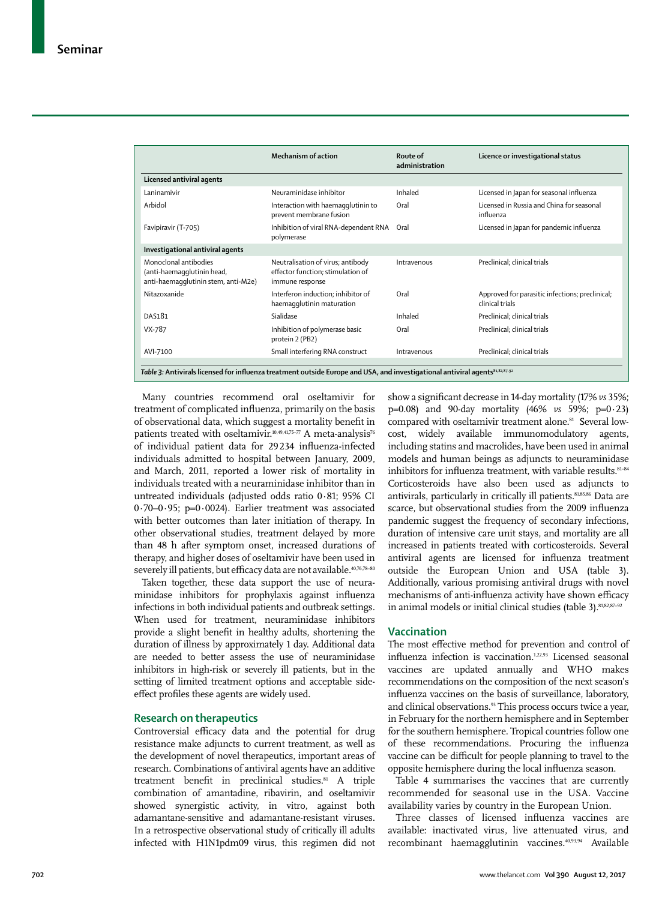|                                                                                            | Mechanism of action                                                                       | Route of<br>administration | Licence or investigational status                                  |
|--------------------------------------------------------------------------------------------|-------------------------------------------------------------------------------------------|----------------------------|--------------------------------------------------------------------|
| Licensed antiviral agents                                                                  |                                                                                           |                            |                                                                    |
| Laninamivir                                                                                | Neuraminidase inhibitor                                                                   | Inhaled                    | Licensed in Japan for seasonal influenza                           |
| Arbidol                                                                                    | Interaction with haemagglutinin to<br>prevent membrane fusion                             | Oral                       | Licensed in Russia and China for seasonal<br>influenza             |
| Favipiravir (T-705)                                                                        | Inhibition of viral RNA-dependent RNA<br>polymerase                                       | Oral                       | Licensed in Japan for pandemic influenza                           |
| Investigational antiviral agents                                                           |                                                                                           |                            |                                                                    |
| Monoclonal antibodies<br>(anti-haemagglutinin head,<br>anti-haemaqqlutinin stem, anti-M2e) | Neutralisation of virus; antibody<br>effector function; stimulation of<br>immune response | Intravenous                | Preclinical; clinical trials                                       |
| Nitazoxanide                                                                               | Interferon induction; inhibitor of<br>haemagglutinin maturation                           | Oral                       | Approved for parasitic infections; preclinical;<br>clinical trials |
| DAS181                                                                                     | Sialidase                                                                                 | Inhaled                    | Preclinical; clinical trials                                       |
| VX-787                                                                                     | Inhibition of polymerase basic<br>protein 2 (PB2)                                         | Oral                       | Preclinical; clinical trials                                       |
| AVI-7100                                                                                   | Small interfering RNA construct                                                           | Intravenous                | Preclinical; clinical trials                                       |

Many countries recommend oral oseltamivir for treatment of complicated influenza, primarily on the basis of observational data, which suggest a mortality benefit in patients treated with oseltamivir.<sup>10,49,41,75-77</sup> A meta-analysis<sup>76</sup> of individual patient data for 29234 influenza-infected individuals admitted to hospital between January, 2009, and March, 2011, reported a lower risk of mortality in individuals treated with a neuraminidase inhibitor than in untreated individuals (adjusted odds ratio 0·81; 95% CI 0·70–0·95; p=0·0024). Earlier treatment was associated with better outcomes than later initiation of therapy. In other observational studies, treatment delayed by more than 48 h after symptom onset, increased durations of therapy, and higher doses of oseltamivir have been used in severely ill patients, but efficacy data are not available.<sup>40,76,78-80</sup>

Taken together, these data support the use of neuraminidase inhibitors for prophylaxis against influenza infections in both individual patients and outbreak settings. When used for treatment, neuraminidase inhibitors provide a slight benefit in healthy adults, shortening the duration of illness by approximately 1 day. Additional data are needed to better assess the use of neuraminidase inhibitors in high-risk or severely ill patients, but in the setting of limited treatment options and acceptable sideeffect profiles these agents are widely used.

## **Research on therapeutics**

Controversial efficacy data and the potential for drug resistance make adjuncts to current treatment, as well as the development of novel therapeutics, important areas of research. Combinations of antiviral agents have an additive treatment benefit in preclinical studies.<sup>81</sup> A triple combination of amantadine, ribavirin, and oseltamivir showed synergistic activity, in vitro, against both adamantane-sensitive and adamantane-resistant viruses. In a retrospective observational study of critically ill adults infected with H1N1pdm09 virus, this regimen did not show a significant decrease in 14-day mortality (17% *vs* 35%; p=0.08) and 90-day mortality (46% *vs* 59%; p=0·23) compared with oseltamivir treatment alone.<sup>81</sup> Several lowcost, widely available immunomodulatory agents, including statins and macrolides, have been used in animal models and human beings as adjuncts to neuraminidase inhibitors for influenza treatment, with variable results.  $81-84$ Corticosteroids have also been used as adjuncts to antivirals, particularly in critically ill patients.<sup>81,85,86</sup> Data are scarce, but observational studies from the 2009 influenza pandemic suggest the frequency of secondary infections, duration of intensive care unit stays, and mortality are all increased in patients treated with corticosteroids. Several antiviral agents are licensed for influenza treatment outside the European Union and USA (table 3). Additionally, various promising antiviral drugs with novel mechanisms of anti-influenza activity have shown efficacy in animal models or initial clinical studies (table 3).<sup>81,82,87-92</sup>

## **Vaccination**

The most effective method for prevention and control of influenza infection is vaccination.1,22,93 Licensed seasonal vaccines are updated annually and WHO makes recommendations on the composition of the next season's influenza vaccines on the basis of surveillance, laboratory, and clinical observations.<sup>93</sup> This process occurs twice a year, in February for the northern hemisphere and in September for the southern hemisphere. Tropical countries follow one of these recommendations. Procuring the influenza vaccine can be difficult for people planning to travel to the opposite hemisphere during the local influenza season.

Table 4 summarises the vaccines that are currently recommended for seasonal use in the USA. Vaccine availability varies by country in the European Union.

Three classes of licensed influenza vaccines are available: inactivated virus, live attenuated virus, and recombinant haemagglutinin vaccines.40,93,94 Available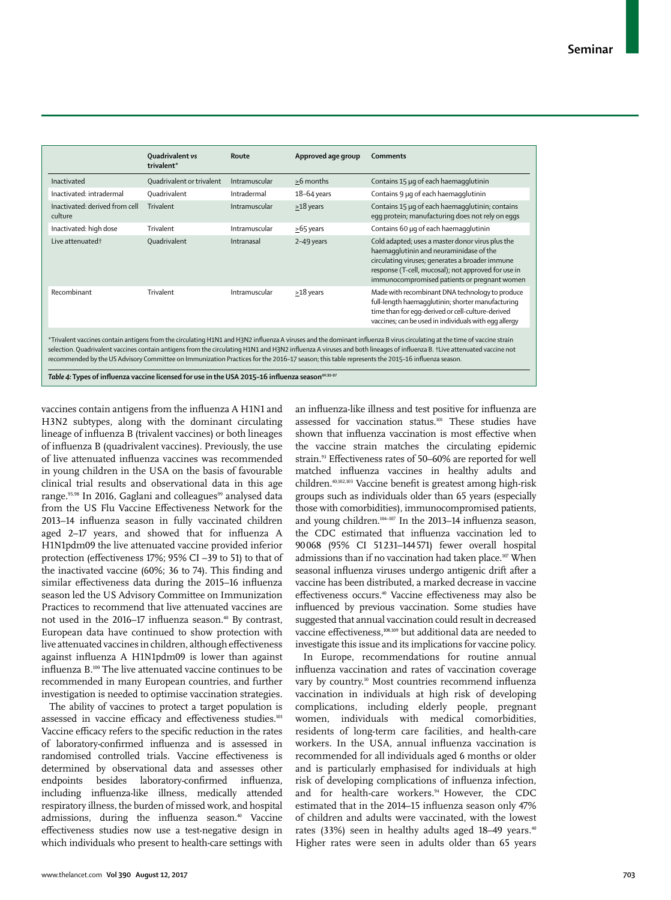|                                                                                                                                                                                                                                                                                                                                                                                                                                                                                                       | Quadrivalent vs<br>trivalent* | Route         | Approved age group | Comments                                                                                                                                                                                                                                              |  |
|-------------------------------------------------------------------------------------------------------------------------------------------------------------------------------------------------------------------------------------------------------------------------------------------------------------------------------------------------------------------------------------------------------------------------------------------------------------------------------------------------------|-------------------------------|---------------|--------------------|-------------------------------------------------------------------------------------------------------------------------------------------------------------------------------------------------------------------------------------------------------|--|
| Inactivated                                                                                                                                                                                                                                                                                                                                                                                                                                                                                           | Quadrivalent or trivalent     | Intramuscular | >6 months          | Contains 15 µg of each haemagglutinin                                                                                                                                                                                                                 |  |
| Inactivated: intradermal                                                                                                                                                                                                                                                                                                                                                                                                                                                                              | Quadrivalent                  | Intradermal   | $18-64$ years      | Contains 9 µg of each haemagglutinin                                                                                                                                                                                                                  |  |
| Inactivated: derived from cell<br>culture                                                                                                                                                                                                                                                                                                                                                                                                                                                             | Trivalent                     | Intramuscular | $\geq$ 18 years    | Contains 15 µq of each haemagglutinin; contains<br>egg protein; manufacturing does not rely on eggs                                                                                                                                                   |  |
| Inactivated: high dose                                                                                                                                                                                                                                                                                                                                                                                                                                                                                | Trivalent                     | Intramuscular | $\geq$ 65 years    | Contains 60 µg of each haemagglutinin                                                                                                                                                                                                                 |  |
| Live attenuated <sup>+</sup>                                                                                                                                                                                                                                                                                                                                                                                                                                                                          | Quadrivalent                  | Intranasal    | 2-49 years         | Cold adapted; uses a master donor virus plus the<br>haemagglutinin and neuraminidase of the<br>circulating viruses; generates a broader immune<br>response (T-cell, mucosal); not approved for use in<br>immunocompromised patients or pregnant women |  |
| Recombinant                                                                                                                                                                                                                                                                                                                                                                                                                                                                                           | Trivalent                     | Intramuscular | $\geq$ 18 years    | Made with recombinant DNA technology to produce<br>full-length haemagglutinin; shorter manufacturing<br>time than for egg-derived or cell-culture-derived<br>vaccines; can be used in individuals with egg allergy                                    |  |
| *Trivalent vaccines contain antigens from the circulating H1N1 and H3N2 influenza A viruses and the dominant influenza B virus circulating at the time of vaccine strain<br>selection. Quadrivalent vaccines contain antigens from the circulating H1N1 and H3N2 influenza A viruses and both lineages of influenza B. †Live attenuated vaccine not<br>recommended by the US Advisory Committee on Immunization Practices for the 2016-17 season; this table represents the 2015-16 influenza season. |                               |               |                    |                                                                                                                                                                                                                                                       |  |

Table 4: Types of influenza vaccine licensed for use in the USA 2015-16 influenza season<sup>40,93-97</sup>

vaccines contain antigens from the influenza A H1N1 and H3N2 subtypes, along with the dominant circulating lineage of influenza B (trivalent vaccines) or both lineages of influenza B (quadrivalent vaccines). Previously, the use of live attenuated influenza vaccines was recommended in young children in the USA on the basis of favourable clinical trial results and observational data in this age range.<sup>95,98</sup> In 2016, Gaglani and colleagues<sup>99</sup> analysed data from the US Flu Vaccine Effectiveness Network for the 2013–14 influenza season in fully vaccinated children aged 2–17 years, and showed that for influenza A H1N1pdm09 the live attenuated vaccine provided inferior protection (effectiveness 17%; 95% CI –39 to 51) to that of the inactivated vaccine (60%; 36 to 74). This finding and similar effectiveness data during the 2015–16 influenza season led the US Advisory Committee on Immunization Practices to recommend that live attenuated vaccines are not used in the 2016–17 influenza season.<sup>40</sup> By contrast, European data have continued to show protection with live attenuated vaccines in children, although effectiveness against influenza A H1N1pdm09 is lower than against influenza B.100 The live attenuated vaccine continues to be recommended in many European countries, and further investigation is needed to optimise vaccination strategies.

The ability of vaccines to protect a target population is assessed in vaccine efficacy and effectiveness studies.<sup>101</sup> Vaccine efficacy refers to the specific reduction in the rates of laboratory-confirmed influenza and is assessed in randomised controlled trials. Vaccine effectiveness is determined by observational data and assesses other endpoints besides laboratory-confirmed influenza, including influenza-like illness, medically attended respiratory illness, the burden of missed work, and hospital admissions, during the influenza season.<sup>40</sup> Vaccine effectiveness studies now use a test-negative design in which individuals who present to health-care settings with an influenza-like illness and test positive for influenza are assessed for vaccination status.101 These studies have shown that influenza vaccination is most effective when the vaccine strain matches the circulating epidemic strain.93 Effectiveness rates of 50–60% are reported for well matched influenza vaccines in healthy adults and children.40,102,103 Vaccine benefit is greatest among high-risk groups such as individuals older than 65 years (especially those with comorbidities), immunocompromised patients, and young children.<sup>104-107</sup> In the 2013-14 influenza season, the CDC estimated that influenza vaccination led to 90068 (95% CI 51231–144571) fewer overall hospital admissions than if no vaccination had taken place.<sup>107</sup> When seasonal influenza viruses undergo antigenic drift after a vaccine has been distributed, a marked decrease in vaccine effectiveness occurs.40 Vaccine effectiveness may also be influenced by previous vaccination. Some studies have suggested that annual vaccination could result in decreased vaccine effectiveness,<sup>108,109</sup> but additional data are needed to investigate this issue and its implications for vaccine policy.

In Europe, recommendations for routine annual influenza vaccination and rates of vaccination coverage vary by country.<sup>10</sup> Most countries recommend influenza vaccination in individuals at high risk of developing complications, including elderly people, pregnant women, individuals with medical comorbidities, residents of long-term care facilities, and health-care workers. In the USA, annual influenza vaccination is recommended for all individuals aged 6 months or older and is particularly emphasised for individuals at high risk of developing complications of influenza infection, and for health-care workers.<sup>94</sup> However, the CDC estimated that in the 2014–15 influenza season only 47% of children and adults were vaccinated, with the lowest rates (33%) seen in healthy adults aged 18–49 years.<sup>40</sup> Higher rates were seen in adults older than 65 years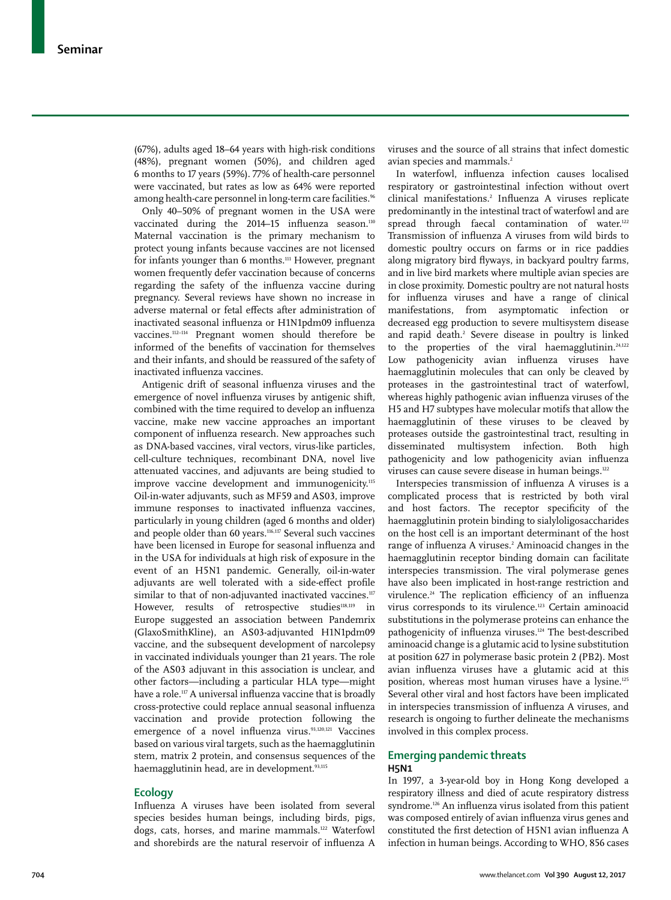(67%), adults aged 18–64 years with high-risk conditions (48%), pregnant women (50%), and children aged 6 months to 17 years (59%). 77% of health-care personnel were vaccinated, but rates as low as 64% were reported among health-care personnel in long-term care facilities.<sup>96</sup>

Only 40–50% of pregnant women in the USA were vaccinated during the 2014–15 influenza season.<sup>110</sup> Maternal vaccination is the primary mechanism to protect young infants because vaccines are not licensed for infants younger than 6 months.<sup>111</sup> However, pregnant women frequently defer vaccination because of concerns regarding the safety of the influenza vaccine during pregnancy. Several reviews have shown no increase in adverse maternal or fetal effects after administration of inactivated seasonal influenza or H1N1pdm09 influenza vaccines.112–114 Pregnant women should therefore be informed of the benefits of vaccination for themselves and their infants, and should be reassured of the safety of inactivated influenza vaccines.

Antigenic drift of seasonal influenza viruses and the emergence of novel influenza viruses by antigenic shift, combined with the time required to develop an influenza vaccine, make new vaccine approaches an important component of influenza research. New approaches such as DNA-based vaccines, viral vectors, virus-like particles, cell-culture techniques, recombinant DNA, novel live attenuated vaccines, and adjuvants are being studied to improve vaccine development and immunogenicity.<sup>115</sup> Oil-in-water adjuvants, such as MF59 and AS03, improve immune responses to inactivated influenza vaccines, particularly in young children (aged 6 months and older) and people older than 60 years.<sup>116,117</sup> Several such vaccines have been licensed in Europe for seasonal influenza and in the USA for individuals at high risk of exposure in the event of an H5N1 pandemic. Generally, oil-in-water adjuvants are well tolerated with a side-effect profile similar to that of non-adjuvanted inactivated vaccines.<sup>117</sup> However, results of retrospective studies<sup>118,119</sup> in Europe suggested an association between Pandemrix (GlaxoSmithKline), an AS03-adjuvanted H1N1pdm09 vaccine, and the subsequent development of narcolepsy in vaccinated individuals younger than 21 years. The role of the AS03 adjuvant in this association is unclear, and other factors—including a particular HLA type—might have a role.<sup>117</sup> A universal influenza vaccine that is broadly cross-protective could replace annual seasonal influenza vaccination and provide protection following the emergence of a novel influenza virus.<sup>93,120,121</sup> Vaccines based on various viral targets, such as the haemagglutinin stem, matrix 2 protein, and consensus sequences of the haemagglutinin head, are in development.<sup>93,115</sup>

## **Ecology**

Influenza A viruses have been isolated from several species besides human beings, including birds, pigs, dogs, cats, horses, and marine mammals.122 Waterfowl and shorebirds are the natural reservoir of influenza A viruses and the source of all strains that infect domestic avian species and mammals.<sup>2</sup>

In waterfowl, influenza infection causes localised respiratory or gastrointestinal infection without overt clinical manifestations.2 Influenza A viruses replicate predominantly in the intestinal tract of waterfowl and are spread through faecal contamination of water.<sup>122</sup> Transmission of influenza A viruses from wild birds to domestic poultry occurs on farms or in rice paddies along migratory bird flyways, in backyard poultry farms, and in live bird markets where multiple avian species are in close proximity. Domestic poultry are not natural hosts for influenza viruses and have a range of clinical manifestations, from asymptomatic infection or decreased egg production to severe multisystem disease and rapid death.<sup>2</sup> Severe disease in poultry is linked to the properties of the viral haemagglutinin.<sup>24,122</sup> Low pathogenicity avian influenza viruses have haemagglutinin molecules that can only be cleaved by proteases in the gastrointestinal tract of waterfowl, whereas highly pathogenic avian influenza viruses of the H5 and H7 subtypes have molecular motifs that allow the haemagglutinin of these viruses to be cleaved by proteases outside the gastrointestinal tract, resulting in disseminated multisystem infection. Both high pathogenicity and low pathogenicity avian influenza viruses can cause severe disease in human beings.<sup>122</sup>

Interspecies transmission of influenza A viruses is a complicated process that is restricted by both viral and host factors. The receptor specificity of the haemagglutinin protein binding to sialyloligosaccharides on the host cell is an important determinant of the host range of influenza A viruses.<sup>2</sup> Aminoacid changes in the haemagglutinin receptor binding domain can facilitate interspecies transmission. The viral polymerase genes have also been implicated in host-range restriction and virulence.<sup>24</sup> The replication efficiency of an influenza virus corresponds to its virulence.<sup>123</sup> Certain aminoacid substitutions in the polymerase proteins can enhance the pathogenicity of influenza viruses.<sup>124</sup> The best-described aminoacid change is a glutamic acid to lysine substitution at position 627 in polymerase basic protein 2 (PB2). Most avian influenza viruses have a glutamic acid at this position, whereas most human viruses have a lysine.125 Several other viral and host factors have been implicated in interspecies transmission of influenza A viruses, and research is ongoing to further delineate the mechanisms involved in this complex process.

## **Emerging pandemic threats H5N1**

In 1997, a 3-year-old boy in Hong Kong developed a respiratory illness and died of acute respiratory distress syndrome.<sup>126</sup> An influenza virus isolated from this patient was composed entirely of avian influenza virus genes and constituted the first detection of H5N1 avian influenza A infection in human beings. According to WHO, 856 cases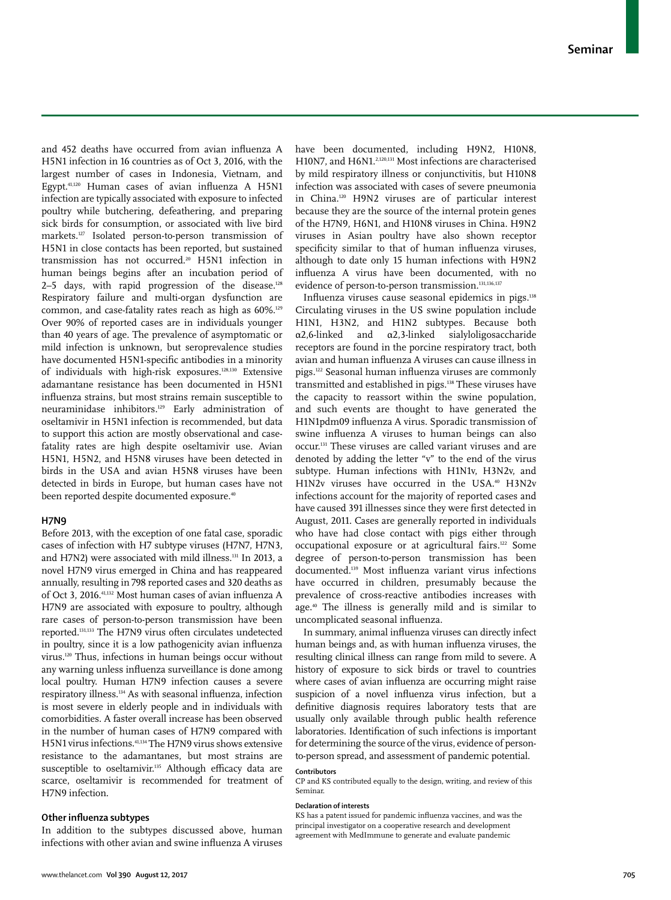and 452 deaths have occurred from avian influenza A H5N1 infection in 16 countries as of Oct 3, 2016, with the largest number of cases in Indonesia, Vietnam, and Egypt.41,120 Human cases of avian influenza A H5N1 infection are typically associated with exposure to infected poultry while butchering, defeathering, and preparing sick birds for consumption, or associated with live bird markets.127 Isolated person-to-person transmission of H5N1 in close contacts has been reported, but sustained transmission has not occurred.20 H5N1 infection in human beings begins after an incubation period of 2–5 days, with rapid progression of the disease. $128$ Respiratory failure and multi-organ dysfunction are common, and case-fatality rates reach as high as 60%.<sup>129</sup> Over 90% of reported cases are in individuals younger than 40 years of age. The prevalence of asymptomatic or mild infection is unknown, but seroprevalence studies have documented H5N1-specific antibodies in a minority of individuals with high-risk exposures.128,130 Extensive adamantane resistance has been documented in H5N1 influenza strains, but most strains remain susceptible to neuraminidase inhibitors.129 Early administration of oseltamivir in H5N1 infection is recommended, but data to support this action are mostly observational and casefatality rates are high despite oseltamivir use. Avian H5N1, H5N2, and H5N8 viruses have been detected in birds in the USA and avian H5N8 viruses have been detected in birds in Europe, but human cases have not been reported despite documented exposure.<sup>40</sup>

#### **H7N9**

Before 2013, with the exception of one fatal case, sporadic cases of infection with H7 subtype viruses (H7N7, H7N3, and H7N2) were associated with mild illness.131 In 2013, a novel H7N9 virus emerged in China and has reappeared annually, resulting in 798 reported cases and 320 deaths as of Oct 3, 2016.41,132 Most human cases of avian influenza A H7N9 are associated with exposure to poultry, although rare cases of person-to-person transmission have been reported.131,133 The H7N9 virus often circulates undetected in poultry, since it is a low pathogenicity avian influenza virus.120 Thus, infections in human beings occur without any warning unless influenza surveillance is done among local poultry. Human H7N9 infection causes a severe respiratory illness.134 As with seasonal influenza, infection is most severe in elderly people and in individuals with comorbidities. A faster overall increase has been observed in the number of human cases of H7N9 compared with H5N1 virus infections.41,134 The H7N9 virus shows extensive resistance to the adamantanes, but most strains are susceptible to oseltamivir.<sup>135</sup> Although efficacy data are scarce, oseltamivir is recommended for treatment of H7N9 infection.

## **Other influenza subtypes**

In addition to the subtypes discussed above, human infections with other avian and swine influenza A viruses

have been documented, including H9N2, H10N8, H10N7, and H6N1.<sup>2,120,131</sup> Most infections are characterised by mild respiratory illness or conjunctivitis, but H10N8 infection was associated with cases of severe pneumonia in China.120 H9N2 viruses are of particular interest because they are the source of the internal protein genes of the H7N9, H6N1, and H10N8 viruses in China. H9N2 viruses in Asian poultry have also shown receptor specificity similar to that of human influenza viruses, although to date only 15 human infections with H9N2 influenza A virus have been documented, with no evidence of person-to-person transmission.<sup>131,136,137</sup>

Influenza viruses cause seasonal epidemics in pigs.138 Circulating viruses in the US swine population include H1N1, H3N2, and H1N2 subtypes. Because both  $\alpha$ 2,6-linked and  $\alpha$ 2,3-linked sialyloligosaccharide receptors are found in the porcine respiratory tract, both avian and human influenza A viruses can cause illness in pigs.122 Seasonal human influenza viruses are commonly transmitted and established in pigs.<sup>138</sup> These viruses have the capacity to reassort within the swine population, and such events are thought to have generated the H1N1pdm09 influenza A virus. Sporadic transmission of swine influenza A viruses to human beings can also occur.131 These viruses are called variant viruses and are denoted by adding the letter "v" to the end of the virus subtype. Human infections with H1N1v, H3N2v, and H1N2v viruses have occurred in the USA.<sup>40</sup> H3N2v infections account for the majority of reported cases and have caused 391 illnesses since they were first detected in August, 2011. Cases are generally reported in individuals who have had close contact with pigs either through occupational exposure or at agricultural fairs.122 Some degree of person-to-person transmission has been documented.139 Most influenza variant virus infections have occurred in children, presumably because the prevalence of cross-reactive antibodies increases with age.40 The illness is generally mild and is similar to uncomplicated seasonal influenza.

In summary, animal influenza viruses can directly infect human beings and, as with human influenza viruses, the resulting clinical illness can range from mild to severe. A history of exposure to sick birds or travel to countries where cases of avian influenza are occurring might raise suspicion of a novel influenza virus infection, but a definitive diagnosis requires laboratory tests that are usually only available through public health reference laboratories. Identification of such infections is important for determining the source of the virus, evidence of personto-person spread, and assessment of pandemic potential.

#### **Contributors**

CP and KS contributed equally to the design, writing, and review of this Seminar.

#### **Declaration of interests**

KS has a patent issued for pandemic influenza vaccines, and was the principal investigator on a cooperative research and development agreement with MedImmune to generate and evaluate pandemic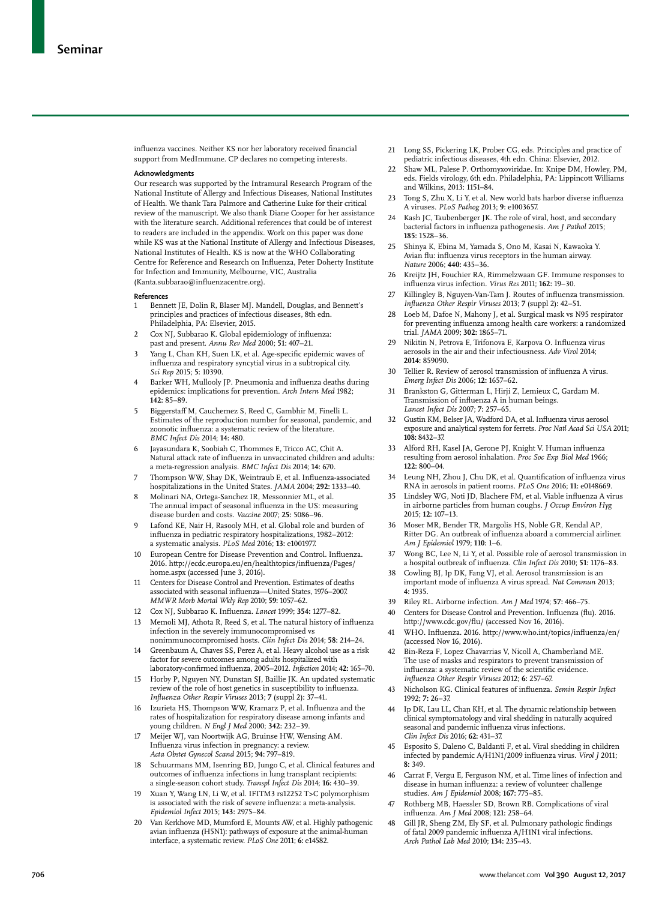influenza vaccines. Neither KS nor her laboratory received financial support from MedImmune. CP declares no competing interests.

#### **Acknowledgments**

Our research was supported by the Intramural Research Program of the National Institute of Allergy and Infectious Diseases, National Institutes of Health. We thank Tara Palmore and Catherine Luke for their critical review of the manuscript. We also thank Diane Cooper for her assistance with the literature search. Additional references that could be of interest to readers are included in the appendix. Work on this paper was done while KS was at the National Institute of Allergy and Infectious Diseases, National Institutes of Health. KS is now at the WHO Collaborating Centre for Reference and Research on Influenza, Peter Doherty Institute for Infection and Immunity, Melbourne, VIC, Australia (Kanta.subbarao@influenzacentre.org).

#### **References**

- Bennett JE, Dolin R, Blaser MJ. Mandell, Douglas, and Bennett's principles and practices of infectious diseases, 8th edn. Philadelphia, PA: Elsevier, 2015.
- 2 Cox NJ, Subbarao K. Global epidemiology of influenza: past and present. *Annu Rev Med* 2000; **51:** 407−21.
- 3 Yang L, Chan KH, Suen LK, et al. Age-specific epidemic waves of influenza and respiratory syncytial virus in a subtropical city. *Sci Rep* 2015; **5:** 10390.
- Barker WH, Mullooly JP. Pneumonia and influenza deaths during epidemics: implications for prevention. *Arch Intern Med* 1982; **142:** 85−89.
- 5 Biggerstaff M, Cauchemez S, Reed C, Gambhir M, Finelli L. Estimates of the reproduction number for seasonal, pandemic, and zoonotic influenza: a systematic review of the literature. *BMC Infect Dis* 2014; **14:** 480.
- 6 Jayasundara K, Soobiah C, Thommes E, Tricco AC, Chit A. Natural attack rate of influenza in unvaccinated children and adults: a meta-regression analysis. *BMC Infect Dis* 2014; **14:** 670.
- 7 Thompson WW, Shay DK, Weintraub E, et al. Influenza-associated hospitalizations in the United States. *JAMA* 2004; **292:** 1333−40.
- 8 Molinari NA, Ortega-Sanchez IR, Messonnier ML, et al. The annual impact of seasonal influenza in the US: measuring disease burden and costs. *Vaccine* 2007; **25:** 5086−96.
- 9 Lafond KE, Nair H, Rasooly MH, et al. Global role and burden of influenza in pediatric respiratory hospitalizations, 1982−2012: a systematic analysis. *PLoS Med* 2016; **13:** e1001977.
- 10 European Centre for Disease Prevention and Control. Influenza. 2016. http://ecdc.europa.eu/en/healthtopics/influenza/Pages/ home.aspx (accessed June 3, 2016).
- 11 Centers for Disease Control and Prevention. Estimates of deaths associated with seasonal influenza—United States, 1976−2007. *MMWR Morb Mortal Wkly Rep* 2010; **59:** 1057−62.
- 12 Cox NJ, Subbarao K. Influenza. *Lancet* 1999; **354:** 1277−82.
- 13 Memoli MJ, Athota R, Reed S, et al. The natural history of influenza infection in the severely immunocompromised vs nonimmunocompromised hosts. *Clin Infect Dis* 2014; **58:** 214−24.
- Greenbaum A, Chaves SS, Perez A, et al. Heavy alcohol use as a risk factor for severe outcomes among adults hospitalized with laboratory-confirmed influenza, 2005−2012. *Infection* 2014; **42:** 165−70.
- 15 Horby P, Nguyen NY, Dunstan SJ, Baillie JK. An updated systematic review of the role of host genetics in susceptibility to influenza. *Influenza Other Respir Viruses* 2013; **7** (suppl 2)**:** 37−41.
- 16 Izurieta HS, Thompson WW, Kramarz P, et al. Influenza and the rates of hospitalization for respiratory disease among infants and young children. *N Engl J Med* 2000; **342:** 232−39.
- 17 Meijer WJ, van Noortwijk AG, Bruinse HW, Wensing AM. Influenza virus infection in pregnancy: a review. *Acta Obstet Gynecol Scand* 2015; **94:** 797−819.
- Schuurmans MM, Isenring BD, Jungo C, et al. Clinical features and outcomes of influenza infections in lung transplant recipients: a single-season cohort study. *Transpl Infect Dis* 2014; **16:** 430−39.
- 19 Xuan Y, Wang LN, Li W, et al. IFITM3 rs12252 T>C polymorphism is associated with the risk of severe influenza: a meta-analysis. *Epidemiol Infect* 2015; **143:** 2975−84.
- 20 Van Kerkhove MD, Mumford E, Mounts AW, et al. Highly pathogenic avian influenza (H5N1): pathways of exposure at the animal-human interface, a systematic review. *PLoS One* 2011; **6:** e14582.
- 21 Long SS, Pickering LK, Prober CG, eds. Principles and practice of pediatric infectious diseases, 4th edn. China: Elsevier, 2012.
- 22 Shaw ML, Palese P. Orthomyxoviridae. In: Knipe DM, Howley, PM, eds. Fields virology, 6th edn. Philadelphia, PA: Lippincott Williams and Wilkins, 2013: 1151–84.
- 23 Tong S, Zhu X, Li Y, et al. New world bats harbor diverse influenza A viruses. *PLoS Pathog* 2013; **9:** e1003657.
- 24 Kash JC, Taubenberger JK. The role of viral, host, and secondary bacterial factors in influenza pathogenesis. *Am J Pathol* 2015; **185:** 1528−36.
- 25 Shinya K, Ebina M, Yamada S, Ono M, Kasai N, Kawaoka Y. Avian flu: influenza virus receptors in the human airway. *Nature* 2006; **440:** 435−36.
- 26 Kreijtz JH, Fouchier RA, Rimmelzwaan GF. Immune responses to influenza virus infection. *Virus Res* 2011; **162:** 19−30.
- 27 Killingley B, Nguyen-Van-Tam J. Routes of influenza transmission. *Influenza Other Respir Viruses* 2013; **7** (suppl 2)**:** 42−51.
- 28 Loeb M, Dafoe N, Mahony J, et al. Surgical mask vs N95 respirator for preventing influenza among health care workers: a randomized trial. *JAMA* 2009; **302:** 1865−71.
- 29 Nikitin N, Petrova E, Trifonova E, Karpova O. Influenza virus aerosols in the air and their infectiousness. *Adv Virol* 2014; **2014:** 859090.
- 30 Tellier R. Review of aerosol transmission of influenza A virus. *Emerg Infect Dis* 2006; **12:** 1657−62.
- 31 Brankston G, Gitterman L, Hirji Z, Lemieux C, Gardam M. Transmission of influenza A in human beings. *Lancet Infect Dis* 2007; **7:** 257−65.
- 32 Gustin KM, Belser JA, Wadford DA, et al. Influenza virus aerosol exposure and analytical system for ferrets. *Proc Natl Acad Sci USA* 2011; **108:** 8432−37.
- 33 Alford RH, Kasel JA, Gerone PJ, Knight V. Human influenza resulting from aerosol inhalation. *Proc Soc Exp Biol Med* 1966; **122:** 800−04.
- Leung NH, Zhou J, Chu DK, et al. Quantification of influenza virus RNA in aerosols in patient rooms. *PLoS One* 2016; **11:** e0148669.
- 35 Lindsley WG, Noti JD, Blachere FM, et al. Viable influenza A virus in airborne particles from human coughs. *J Occup Environ Hyg* 2015; **12:** 107−13.
- 36 Moser MR, Bender TR, Margolis HS, Noble GR, Kendal AP, Ritter DG. An outbreak of influenza aboard a commercial airliner. *Am J Epidemiol* 1979; **110:** 1−6.
- 37 Wong BC, Lee N, Li Y, et al. Possible role of aerosol transmission in a hospital outbreak of influenza. *Clin Infect Dis* 2010; **51:** 1176−83.
- Cowling BJ, Ip DK, Fang VJ, et al. Aerosol transmission is an important mode of influenza A virus spread. *Nat Commun* 2013; **4:** 1935.
- 39 Riley RL. Airborne infection. *Am J Med* 1974; **57:** 466−75.
- 40 Centers for Disease Control and Prevention. Influenza (flu). 2016. http://www.cdc.gov/flu/ (accessed Nov 16, 2016).
- 41 WHO. Influenza. 2016. http://www.who.int/topics/influenza/en/ (accessed Nov 16, 2016).
- 42 Bin-Reza F, Lopez Chavarrias V, Nicoll A, Chamberland ME. The use of masks and respirators to prevent transmission of influenza: a systematic review of the scientific evidence. *Influenza Other Respir Viruses* 2012; **6:** 257−67.
- 43 Nicholson KG. Clinical features of influenza. *Semin Respir Infect* 1992; **7:** 26−37.
- 44 Ip DK, Lau LL, Chan KH, et al. The dynamic relationship between clinical symptomatology and viral shedding in naturally acquired seasonal and pandemic influenza virus infections. *Clin Infect Dis* 2016; **62:** 431−37.
- 45 Esposito S, Daleno C, Baldanti F, et al. Viral shedding in children infected by pandemic A/H1N1/2009 influenza virus. *Virol J* 2011; **8:** 349.
- 46 Carrat F, Vergu E, Ferguson NM, et al. Time lines of infection and disease in human influenza: a review of volunteer challenge studies. *Am J Epidemiol* 2008; **167:** 775−85.
- 47 Rothberg MB, Haessler SD, Brown RB. Complications of viral influenza. *Am J Med* 2008; **121:** 258−64.
- 48 Gill JR, Sheng ZM, Ely SF, et al. Pulmonary pathologic findings of fatal 2009 pandemic influenza A/H1N1 viral infections. *Arch Pathol Lab Med* 2010; **134:** 235−43.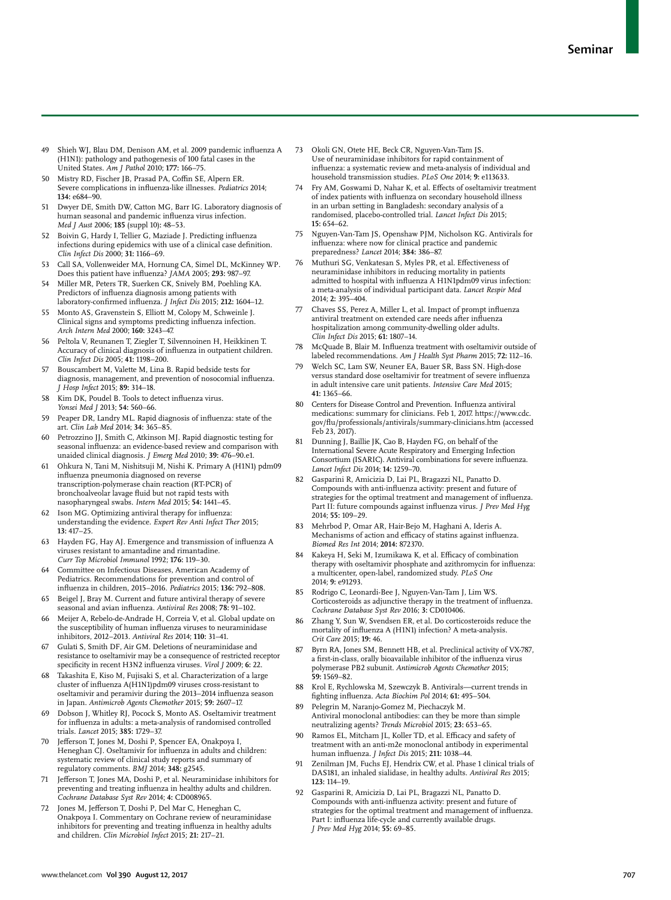- 49 Shieh WJ, Blau DM, Denison AM, et al. 2009 pandemic influenza A (H1N1): pathology and pathogenesis of 100 fatal cases in the United States. *Am J Pathol* 2010; **177:** 166−75.
- Mistry RD, Fischer JB, Prasad PA, Coffin SE, Alpern ER. Severe complications in influenza-like illnesses. *Pediatrics* 2014; **134:** e684−90.
- 51 Dwyer DE, Smith DW, Catton MG, Barr IG. Laboratory diagnosis of human seasonal and pandemic influenza virus infection. *Med J Aust* 2006; **185** (suppl 10)**:** 48−53.
- 52 Boivin G, Hardy I, Tellier G, Maziade J. Predicting influenza infections during epidemics with use of a clinical case definition. *Clin Infect Dis* 2000; **31:** 1166−69.
- 53 Call SA, Vollenweider MA, Hornung CA, Simel DL, McKinney WP. Does this patient have influenza? *JAMA* 2005; **293:** 987−97.
- 54 Miller MR, Peters TR, Suerken CK, Snively BM, Poehling KA. Predictors of influenza diagnosis among patients with laboratory-confirmed influenza. *J Infect Dis* 2015; **212:** 1604−12.
- 55 Monto AS, Gravenstein S, Elliott M, Colopy M, Schweinle J. Clinical signs and symptoms predicting influenza infection. *Arch Intern Med* 2000; **160:** 3243−47.
- 56 Peltola V, Reunanen T, Ziegler T, Silvennoinen H, Heikkinen T. Accuracy of clinical diagnosis of influenza in outpatient children. *Clin Infect Dis* 2005; **41:** 1198−200.
- 57 Bouscambert M, Valette M, Lina B. Rapid bedside tests for diagnosis, management, and prevention of nosocomial influenza. *J Hosp Infect* 2015; **89:** 314−18.
- 58 Kim DK, Poudel B. Tools to detect influenza virus. *Yonsei Med J* 2013; **54:** 560−66.
- 59 Peaper DR, Landry ML. Rapid diagnosis of influenza: state of the art. *Clin Lab Med* 2014; **34:** 365−85.
- Petrozzino JJ, Smith C, Atkinson MJ. Rapid diagnostic testing for seasonal influenza: an evidence-based review and comparison with unaided clinical diagnosis. *J Emerg Med* 2010; **39:** 476−90.e1.
- 61 Ohkura N, Tani M, Nishitsuji M, Nishi K. Primary A (H1N1) pdm09 influenza pneumonia diagnosed on reverse transcription-polymerase chain reaction (RT-PCR) of bronchoalveolar lavage fluid but not rapid tests with nasopharyngeal swabs. *Intern Med* 2015; **54:** 1441−45.
- 62 Ison MG. Optimizing antiviral therapy for influenza: understanding the evidence. *Expert Rev Anti Infect Ther* 2015; **13:** 417−25.
- 63 Hayden FG, Hay AJ. Emergence and transmission of influenza A viruses resistant to amantadine and rimantadine. *Curr Top Microbiol Immunol* 1992; **176:** 119−30.
- Committee on Infectious Diseases, American Academy of Pediatrics. Recommendations for prevention and control of influenza in children, 2015−2016. *Pediatrics* 2015; **136:** 792−808.
- 65 Beigel J, Bray M. Current and future antiviral therapy of severe seasonal and avian influenza. *Antiviral Res* 2008; **78:** 91−102.
- 66 Meijer A, Rebelo-de-Andrade H, Correia V, et al. Global update on the susceptibility of human influenza viruses to neuraminidase inhibitors, 2012−2013. *Antiviral Res* 2014; **110:** 31−41.
- 67 Gulati S, Smith DF, Air GM. Deletions of neuraminidase and resistance to oseltamivir may be a consequence of restricted receptor specificity in recent H3N2 influenza viruses. *Virol J* 2009; **6:** 22.
- 68 Takashita E, Kiso M, Fujisaki S, et al. Characterization of a large cluster of influenza A(H1N1)pdm09 viruses cross-resistant to oseltamivir and peramivir during the 2013−2014 influenza season in Japan. *Antimicrob Agents Chemother* 2015; **59:** 2607−17.
- 69 Dobson J, Whitley RJ, Pocock S, Monto AS. Oseltamivir treatment for influenza in adults: a meta-analysis of randomised controlled trials. *Lancet* 2015; **385:** 1729−37.
- 70 Jefferson T, Jones M, Doshi P, Spencer EA, Onakpoya I, Heneghan CJ. Oseltamivir for influenza in adults and children: systematic review of clinical study reports and summary of regulatory comments. *BMJ* 2014; **348:** g2545.
- Jefferson T, Jones MA, Doshi P, et al. Neuraminidase inhibitors for preventing and treating influenza in healthy adults and children. *Cochrane Database Syst Rev* 2014; **4:** CD008965.
- 72 Jones M, Jefferson T, Doshi P, Del Mar C, Heneghan C, Onakpoya I. Commentary on Cochrane review of neuraminidase inhibitors for preventing and treating influenza in healthy adults and children. *Clin Microbiol Infect* 2015; **21:** 217−21.
- 73 Okoli GN, Otete HE, Beck CR, Nguyen-Van-Tam JS. Use of neuraminidase inhibitors for rapid containment of influenza: a systematic review and meta-analysis of individual and household transmission studies. *PLoS One* 2014; **9:** e113633.
- 74 Fry AM, Goswami D, Nahar K, et al. Effects of oseltamivir treatment of index patients with influenza on secondary household illness in an urban setting in Bangladesh: secondary analysis of a randomised, placebo-controlled trial. *Lancet Infect Dis* 2015; **15:** 654−62.
- 75 Nguyen-Van-Tam JS, Openshaw PJM, Nicholson KG. Antivirals for influenza: where now for clinical practice and pandemic preparedness? *Lancet* 2014; **384:** 386−87.
- 76 Muthuri SG, Venkatesan S, Myles PR, et al. Effectiveness of neuraminidase inhibitors in reducing mortality in patients admitted to hospital with influenza A H1N1pdm09 virus infection: a meta-analysis of individual participant data. *Lancet Respir Med* 2014; **2:** 395−404.
- 77 Chaves SS, Perez A, Miller L, et al. Impact of prompt influenza antiviral treatment on extended care needs after influenza hospitalization among community-dwelling older adults. *Clin Infect Dis* 2015; **61:** 1807−14.
- 78 McQuade B, Blair M. Influenza treatment with oseltamivir outside of labeled recommendations. *Am J Health Syst Pharm* 2015; **72:** 112−16.
- Welch SC, Lam SW, Neuner EA, Bauer SR, Bass SN. High-dose versus standard dose oseltamivir for treatment of severe influenza in adult intensive care unit patients. *Intensive Care Med* 2015; **41:** 1365−66.
- 80 Centers for Disease Control and Prevention. Influenza antiviral medications: summary for clinicians. Feb 1, 2017. https://www.cdc. gov/flu/professionals/antivirals/summary-clinicians.htm (accessed Feb 23, 2017).
- 81 Dunning J, Baillie JK, Cao B, Hayden FG, on behalf of the International Severe Acute Respiratory and Emerging Infection Consortium (ISARIC). Antiviral combinations for severe influenza. *Lancet Infect Dis* 2014; **14:** 1259−70.
- 82 Gasparini R, Amicizia D, Lai PL, Bragazzi NL, Panatto D. Compounds with anti-influenza activity: present and future of strategies for the optimal treatment and management of influenza. Part II: future compounds against influenza virus. *J Prev Med Hyg* 2014; **55:** 109−29.
- 83 Mehrbod P, Omar AR, Hair-Bejo M, Haghani A, Ideris A. Mechanisms of action and efficacy of statins against influenza. *Biomed Res Int* 2014; **2014:** 872370.
- Kakeya H, Seki M, Izumikawa K, et al. Efficacy of combination therapy with oseltamivir phosphate and azithromycin for influenza: a multicenter, open-label, randomized study. *PLoS One* 2014; **9:** e91293.
- 85 Rodrigo C, Leonardi-Bee J, Nguyen-Van-Tam J, Lim WS. Corticosteroids as adjunctive therapy in the treatment of influenza. *Cochrane Database Syst Rev* 2016; **3:** CD010406.
- 86 Zhang Y, Sun W, Svendsen ER, et al. Do corticosteroids reduce the mortality of influenza A (H1N1) infection? A meta-analysis. *Crit Care* 2015; **19:** 46.
- 87 Byrn RA, Jones SM, Bennett HB, et al. Preclinical activity of VX-787, a first-in-class, orally bioavailable inhibitor of the influenza virus polymerase PB2 subunit. *Antimicrob Agents Chemother* 2015; **59:** 1569−82.
- Krol E, Rychlowska M, Szewczyk B. Antivirals—current trends in fighting influenza. *Acta Biochim Pol* 2014; **61:** 495−504.
- 89 Pelegrin M, Naranjo-Gomez M, Piechaczyk M. Antiviral monoclonal antibodies: can they be more than simple neutralizing agents? *Trends Microbiol* 2015; **23:** 653−65.
- Ramos EL, Mitcham JL, Koller TD, et al. Efficacy and safety of treatment with an anti-m2e monoclonal antibody in experimental human influenza. *J Infect Dis* 2015; **211:** 1038−44.
- Zenilman JM, Fuchs EJ, Hendrix CW, et al. Phase 1 clinical trials of DAS181, an inhaled sialidase, in healthy adults. *Antiviral Res* 2015; **123:** 114−19.
- 92 Gasparini R, Amicizia D, Lai PL, Bragazzi NL, Panatto D. Compounds with anti-influenza activity: present and future of strategies for the optimal treatment and management of influenza. Part I: influenza life-cycle and currently available drugs. *J Prev Med Hyg* 2014; **55:** 69−85.